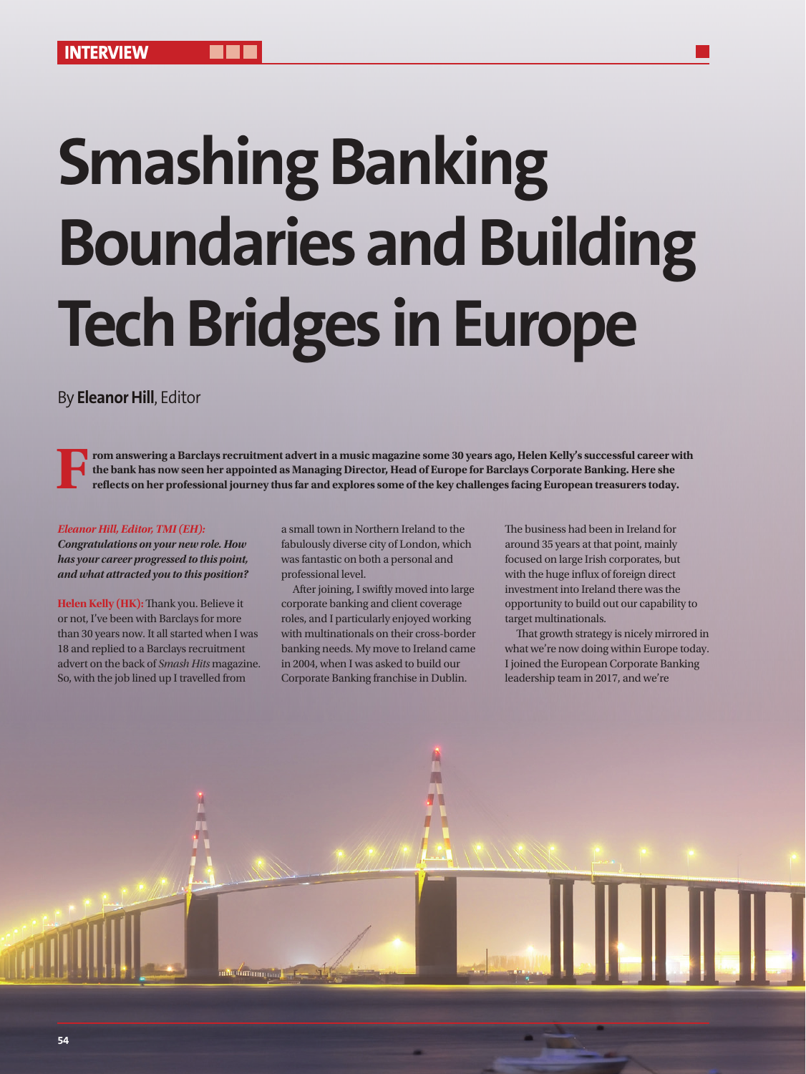# **Smashing Banking Boundaries and Building Tech Bridges in Europe**

# By **Eleanor Hill**, Editor

**From answering a Barclays recruitment advert in a music magazine some 30 years ago, Helen Kelly's successful career with the bank has now seen her appointed as Managing Director, Head of Europe for Barclays Corporate Banking. Here she reflects on her professional journey thus far and explores some of the key challenges facing European treasurers today.**

#### *Eleanor Hill, Editor, TMI (EH):*

*Congratulations on your new role. How has your career progressed to this point, and what attracted you to this position?*

**Helen Kelly (HK):** Thank you. Believe it or not, I've been with Barclays for more than 30 years now. It all started when I was 18 and replied to a Barclays recruitment advert on the back of *Smash Hits* magazine. So, with the job lined up I travelled from

a small town in Northern Ireland to the fabulously diverse city of London, which was fantastic on both a personal and professional level.

After joining, I swiftly moved into large corporate banking and client coverage roles, and I particularly enjoyed working with multinationals on their cross-border banking needs. My move to Ireland came in 2004, when I was asked to build our Corporate Banking franchise in Dublin.

The business had been in Ireland for around 35 years at that point, mainly focused on large Irish corporates, but with the huge influx of foreign direct investment into Ireland there was the opportunity to build out our capability to target multinationals.

That growth strategy is nicely mirrored in what we're now doing within Europe today. I joined the European Corporate Banking leadership team in 2017, and we're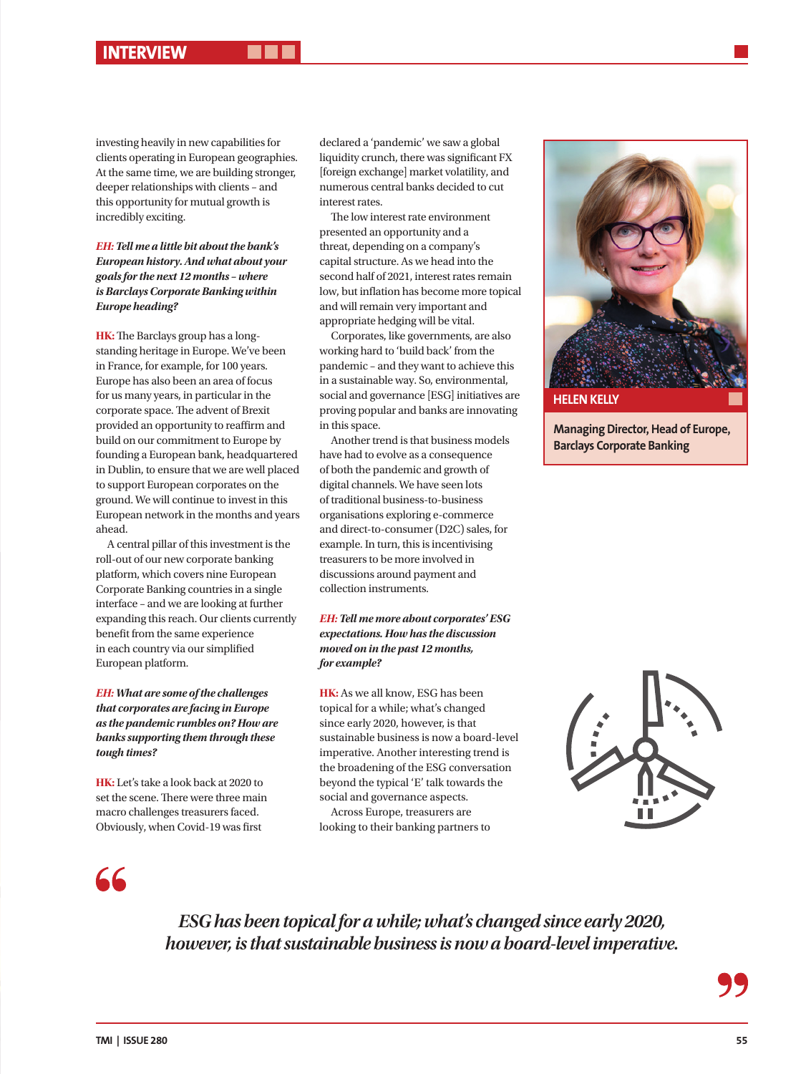investing heavily in new capabilities for clients operating in European geographies. At the same time, we are building stronger, deeper relationships with clients – and this opportunity for mutual growth is incredibly exciting.

### *EH: Tell me a little bit about the bank's European history. And what about your goals for the next 12 months – where is Barclays Corporate Banking within Europe heading?*

**HK:** The Barclays group has a longstanding heritage in Europe. We've been in France, for example, for 100 years. Europe has also been an area of focus for us many years, in particular in the corporate space. The advent of Brexit provided an opportunity to reaffirm and build on our commitment to Europe by founding a European bank, headquartered in Dublin, to ensure that we are well placed to support European corporates on the ground. We will continue to invest in this European network in the months and years ahead.

A central pillar of this investment is the roll-out of our new corporate banking platform, which covers nine European Corporate Banking countries in a single interface – and we are looking at further expanding this reach. Our clients currently benefit from the same experience in each country via our simplified European platform.

#### *EH: What are some of the challenges that corporates are facing in Europe as the pandemic rumbles on? How are banks supporting them through these tough times?*

**HK:** Let's take a look back at 2020 to set the scene. There were three main macro challenges treasurers faced. Obviously, when Covid-19 was first

declared a 'pandemic' we saw a global liquidity crunch, there was significant FX [foreign exchange] market volatility, and numerous central banks decided to cut interest rates.

The low interest rate environment presented an opportunity and a threat, depending on a company's capital structure. As we head into the second half of 2021, interest rates remain low, but inflation has become more topical and will remain very important and appropriate hedging will be vital.

Corporates, like governments, are also working hard to 'build back' from the pandemic – and they want to achieve this in a sustainable way. So, environmental, social and governance [ESG] initiatives are proving popular and banks are innovating in this space.

Another trend is that business models have had to evolve as a consequence of both the pandemic and growth of digital channels. We have seen lots of traditional business-to-business organisations exploring e-commerce and direct-to-consumer (D2C) sales, for example. In turn, this is incentivising treasurers to be more involved in discussions around payment and collection instruments.

### *EH: Tell me more about corporates' ESG expectations. How has the discussion moved on in the past 12 months, for example?*

**HK:** As we all know, ESG has been topical for a while; what's changed since early 2020, however, is that sustainable business is now a board-level imperative. Another interesting trend is the broadening of the ESG conversation beyond the typical 'E' talk towards the social and governance aspects.

Across Europe, treasurers are looking to their banking partners to



**Managing Director, Head of Europe, Barclays Corporate Banking**



66

*ESG has been topical for a while; what's changed since early 2020, however, is that sustainable business is now a board-level imperative.*